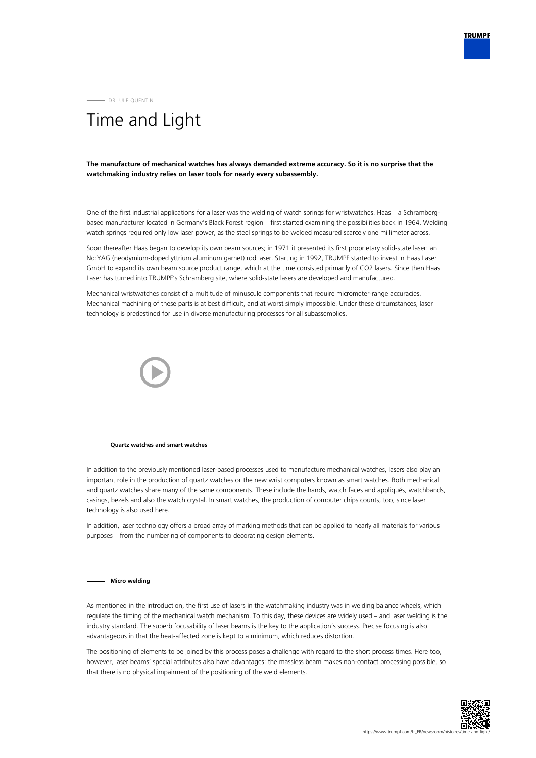DR. ULF QUENTIN

# Time and Light

**The manufacture of mechanical watches has always demanded extreme accuracy. So it is no surprise that the watchmaking industry relies on laser tools for nearly every subassembly.**

One of the first industrial applications for a laser was the welding of watch springs for wristwatches. Haas – a Schrambergbased manufacturer located in Germany's Black Forest region – first started examining the possibilities back in 1964. Welding watch springs required only low laser power, as the steel springs to be welded measured scarcely one millimeter across.

Soon thereafter Haas began to develop its own beam sources; in 1971 it presented its first proprietary solid-state laser: an Nd:YAG (neodymium-doped yttrium aluminum garnet) rod laser. Starting in 1992, TRUMPF started to invest in Haas Laser GmbH to expand its own beam source product range, which at the time consisted primarily of CO2 lasers. Since then Haas Laser has turned into TRUMPF's Schramberg site, where solid-state lasers are developed and manufactured.

Mechanical wristwatches consist of a multitude of minuscule components that require micrometer-range accuracies. Mechanical machining of these parts is at best difficult, and at worst simply impossible. Under these circumstances, laser technology is predestined for use in diverse manufacturing processes for all subassemblies.



### **Quartz watches and smart watches**

In addition to the previously mentioned laser-based processes used to manufacture mechanical watches, lasers also play an important role in the production of quartz watches or the new wrist computers known as smart watches. Both mechanical and quartz watches share many of the same components. These include the hands, watch faces and appliqués, watchbands, casings, bezels and also the watch crystal. In smart watches, the production of computer chips counts, too, since laser technology is also used here.

In addition, laser technology offers a broad array of marking methods that can be applied to nearly all materials for various purposes – from the numbering of components to decorating design elements.

### **Micro welding**

As mentioned in the introduction, the first use of lasers in the watchmaking industry was in welding balance wheels, which regulate the timing of the mechanical watch mechanism. To this day, these devices are widely used – and laser welding is the industry standard. The superb focusability of laser beams is the key to the application's success. Precise focusing is also advantageous in that the heat-affected zone is kept to a minimum, which reduces distortion.

The positioning of elements to be joined by this process poses a challenge with regard to the short process times. Here too, however, laser beams' special attributes also have advantages: the massless beam makes non-contact processing possible, so that there is no physical impairment of the positioning of the weld elements.

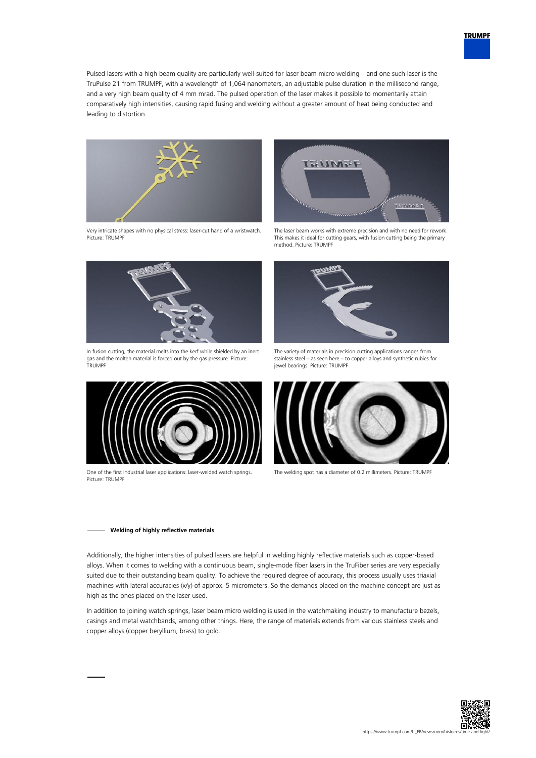

Pulsed lasers with a high beam quality are particularly well-suited for laser beam micro welding – and one such laser is the TruPulse 21 from TRUMPF, with a wavelength of 1,064 nanometers, an adjustable pulse duration in the millisecond range, and a very high beam quality of 4 mm mrad. The pulsed operation of the laser makes it possible to momentarily attain comparatively high intensities, causing rapid fusing and welding without a greater amount of heat being conducted and leading to distortion.



Very intricate shapes with no physical stress: laser-cut hand of a wristwatch. Picture: TRUMPF



In fusion cutting, the material melts into the kerf while shielded by an inert gas and the molten material is forced out by the gas pressure. Picture: TRUMPF



One of the first industrial laser applications: laser-welded watch springs. Picture: TRUMPF



The laser beam works with extreme precision and with no need for rework. This makes it ideal for cutting gears, with fusion cutting being the primary method. Picture: TRUMPF



The variety of materials in precision cutting applications ranges from stainless steel – as seen here – to copper alloys and synthetic rubies for jewel bearings. Picture: TRUMPF



The welding spot has a diameter of 0.2 millimeters. Picture: TRUMPF

### **Welding of highly reflective materials**

Additionally, the higher intensities of pulsed lasers are helpful in welding highly reflective materials such as copper-based alloys. When it comes to welding with a continuous beam, single-mode fiber lasers in the TruFiber series are very especially suited due to their outstanding beam quality. To achieve the required degree of accuracy, this process usually uses triaxial machines with lateral accuracies (x/y) of approx. 5 micrometers. So the demands placed on the machine concept are just as high as the ones placed on the laser used.

In addition to joining watch springs, laser beam micro welding is used in the watchmaking industry to manufacture bezels, casings and metal watchbands, among other things. Here, the range of materials extends from various stainless steels and copper alloys (copper beryllium, brass) to gold.

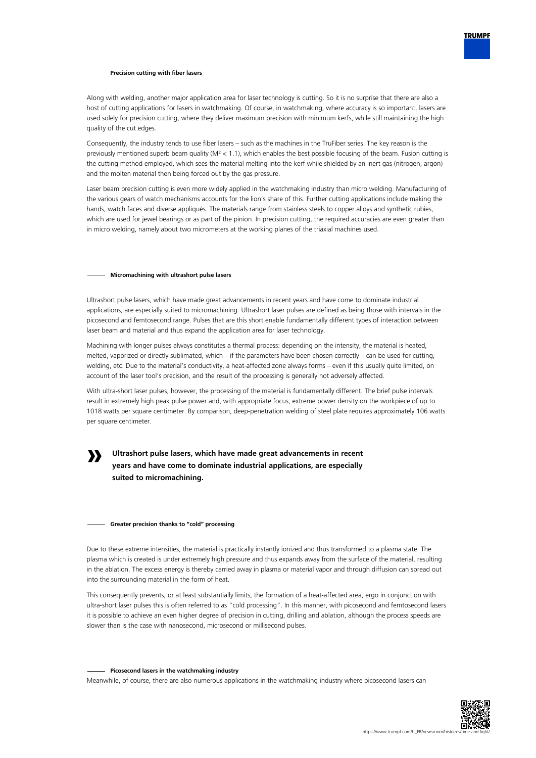

### **Precision cutting with fiber lasers**

Along with welding, another major application area for laser technology is cutting. So it is no surprise that there are also a host of cutting applications for lasers in watchmaking. Of course, in watchmaking, where accuracy is so important, lasers are used solely for precision cutting, where they deliver maximum precision with minimum kerfs, while still maintaining the high quality of the cut edges.

Consequently, the industry tends to use fiber lasers – such as the machines in the TruFiber series. The key reason is the previously mentioned superb beam quality (M² < 1.1), which enables the best possible focusing of the beam. Fusion cutting is the cutting method employed, which sees the material melting into the kerf while shielded by an inert gas (nitrogen, argon) and the molten material then being forced out by the gas pressure.

Laser beam precision cutting is even more widely applied in the watchmaking industry than micro welding. Manufacturing of the various gears of watch mechanisms accounts for the lion's share of this. Further cutting applications include making the hands, watch faces and diverse appliqués. The materials range from stainless steels to copper alloys and synthetic rubies, which are used for jewel bearings or as part of the pinion. In precision cutting, the required accuracies are even greater than in micro welding, namely about two micrometers at the working planes of the triaxial machines used.

### **Micromachining with ultrashort pulse lasers**

Ultrashort pulse lasers, which have made great advancements in recent years and have come to dominate industrial applications, are especially suited to micromachining. Ultrashort laser pulses are defined as being those with intervals in the picosecond and femtosecond range. Pulses that are this short enable fundamentally different types of interaction between laser beam and material and thus expand the application area for laser technology.

Machining with longer pulses always constitutes a thermal process: depending on the intensity, the material is heated, melted, vaporized or directly sublimated, which – if the parameters have been chosen correctly – can be used for cutting, welding, etc. Due to the material's conductivity, a heat-affected zone always forms – even if this usually quite limited, on account of the laser tool's precision, and the result of the processing is generally not adversely affected.

With ultra-short laser pulses, however, the processing of the material is fundamentally different. The brief pulse intervals result in extremely high peak pulse power and, with appropriate focus, extreme power density on the workpiece of up to 1018 watts per square centimeter. By comparison, deep-penetration welding of steel plate requires approximately 106 watts per square centimeter.

## **»**

### **Ultrashort pulse lasers, which have made great advancements in recent years and have come to dominate industrial applications, are especially suited to micromachining.**

#### **Greater precision thanks to "cold" processing**

Due to these extreme intensities, the material is practically instantly ionized and thus transformed to a plasma state. The plasma which is created is under extremely high pressure and thus expands away from the surface of the material, resulting in the ablation. The excess energy is thereby carried away in plasma or material vapor and through diffusion can spread out into the surrounding material in the form of heat.

This consequently prevents, or at least substantially limits, the formation of a heat-affected area, ergo in conjunction with ultra-short laser pulses this is often referred to as "cold processing". In this manner, with picosecond and femtosecond lasers it is possible to achieve an even higher degree of precision in cutting, drilling and ablation, although the process speeds are slower than is the case with nanosecond, microsecond or millisecond pulses.

### **Picosecond lasers in the watchmaking industry**

Meanwhile, of course, there are also numerous applications in the watchmaking industry where picosecond lasers can

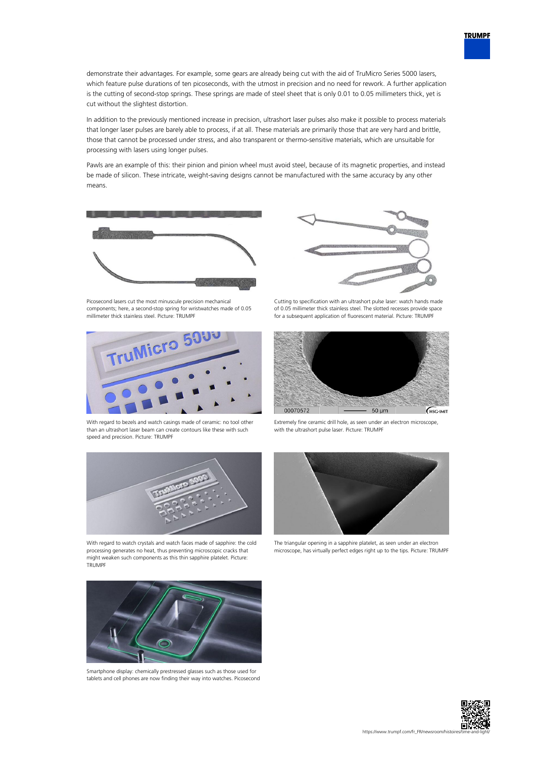demonstrate their advantages. For example, some gears are already being cut with the aid of TruMicro Series 5000 lasers, which feature pulse durations of ten picoseconds, with the utmost in precision and no need for rework. A further application is the cutting of second-stop springs. These springs are made of steel sheet that is only 0.01 to 0.05 millimeters thick, yet is cut without the slightest distortion.

In addition to the previously mentioned increase in precision, ultrashort laser pulses also make it possible to process materials that longer laser pulses are barely able to process, if at all. These materials are primarily those that are very hard and brittle, those that cannot be processed under stress, and also transparent or thermo-sensitive materials, which are unsuitable for processing with lasers using longer pulses.

Pawls are an example of this: their pinion and pinion wheel must avoid steel, because of its magnetic properties, and instead be made of silicon. These intricate, weight-saving designs cannot be manufactured with the same accuracy by any other means.



Picosecond lasers cut the most minuscule precision mechanical components; here, a second-stop spring for wristwatches made of 0.05 millimeter thick stainless steel. Picture: TRUMPF



With regard to bezels and watch casings made of ceramic: no tool other than an ultrashort laser beam can create contours like these with such speed and precision. Picture: TRUMPF



With regard to watch crystals and watch faces made of sapphire: the cold processing generates no heat, thus preventing microscopic cracks that might weaken such components as this thin sapphire platelet. Picture: TRUMPF



Smartphone display: chemically prestressed glasses such as those used for tablets and cell phones are now finding their way into watches. Picosecond



Cutting to specification with an ultrashort pulse laser: watch hands made of 0.05 millimeter thick stainless steel. The slotted recesses provide space for a subsequent application of fluorescent material. Picture: TRUMPF



Extremely fine ceramic drill hole, as seen under an electron microscope, with the ultrashort pulse laser. Picture: TRUMPF



The triangular opening in a sapphire platelet, as seen under an electron microscope, has virtually perfect edges right up to the tips. Picture: TRUMPF



**TRUMPF**